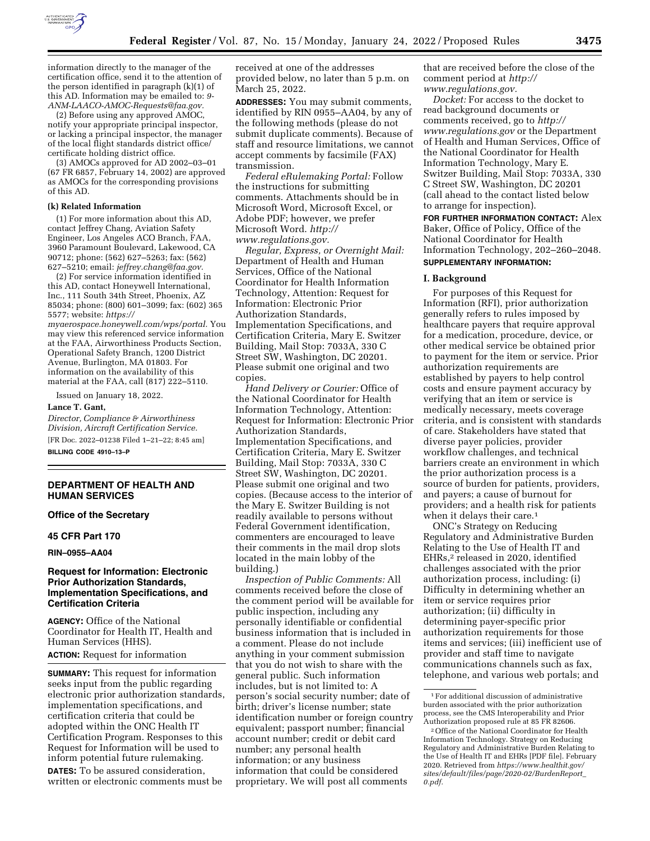

information directly to the manager of the certification office, send it to the attention of the person identified in paragraph (k)(1) of this AD. Information may be emailed to: *[9-](mailto:9-ANM-LAACO-AMOC-Requests@faa.gov)  [ANM-LAACO-AMOC-Requests@faa.gov.](mailto:9-ANM-LAACO-AMOC-Requests@faa.gov)* 

(2) Before using any approved AMOC, notify your appropriate principal inspector, or lacking a principal inspector, the manager of the local flight standards district office/ certificate holding district office.

(3) AMOCs approved for AD 2002–03–01 (67 FR 6857, February 14, 2002) are approved as AMOCs for the corresponding provisions of this AD.

#### **(k) Related Information**

(1) For more information about this AD, contact Jeffrey Chang, Aviation Safety Engineer, Los Angeles ACO Branch, FAA, 3960 Paramount Boulevard, Lakewood, CA 90712; phone: (562) 627–5263; fax: (562) 627–5210; email: *[jeffrey.chang@faa.gov.](mailto:jeffrey.chang@faa.gov)* 

(2) For service information identified in this AD, contact Honeywell International, Inc., 111 South 34th Street, Phoenix, AZ 85034; phone: (800) 601–3099; fax: (602) 365 5577; website: *[https://](https://myaerospace.honeywell.com/wps/portal)*

*[myaerospace.honeywell.com/wps/portal.](https://myaerospace.honeywell.com/wps/portal)* You may view this referenced service information at the FAA, Airworthiness Products Section, Operational Safety Branch, 1200 District Avenue, Burlington, MA 01803. For information on the availability of this material at the FAA, call (817) 222–5110.

Issued on January 18, 2022.

#### **Lance T. Gant,**

*Director, Compliance & Airworthiness Division, Aircraft Certification Service.*  [FR Doc. 2022–01238 Filed 1–21–22; 8:45 am]

**BILLING CODE 4910–13–P** 

# **DEPARTMENT OF HEALTH AND HUMAN SERVICES**

### **Office of the Secretary**

# **45 CFR Part 170**

**RIN–0955–AA04** 

### **Request for Information: Electronic Prior Authorization Standards, Implementation Specifications, and Certification Criteria**

**AGENCY:** Office of the National Coordinator for Health IT, Health and Human Services (HHS).

**ACTION:** Request for information

**SUMMARY:** This request for information seeks input from the public regarding electronic prior authorization standards, implementation specifications, and certification criteria that could be adopted within the ONC Health IT Certification Program. Responses to this Request for Information will be used to inform potential future rulemaking.

**DATES:** To be assured consideration, written or electronic comments must be received at one of the addresses provided below, no later than 5 p.m. on March 25, 2022.

**ADDRESSES:** You may submit comments, identified by RIN 0955–AA04, by any of the following methods (please do not submit duplicate comments). Because of staff and resource limitations, we cannot accept comments by facsimile (FAX) transmission.

*Federal eRulemaking Portal:* Follow the instructions for submitting comments. Attachments should be in Microsoft Word, Microsoft Excel, or Adobe PDF; however, we prefer Microsoft Word. *[http://](http://www.regulations.gov) [www.regulations.gov.](http://www.regulations.gov)* 

*Regular, Express, or Overnight Mail:*  Department of Health and Human Services, Office of the National Coordinator for Health Information Technology, Attention: Request for Information: Electronic Prior Authorization Standards, Implementation Specifications, and Certification Criteria, Mary E. Switzer Building, Mail Stop: 7033A, 330 C Street SW, Washington, DC 20201. Please submit one original and two copies.

*Hand Delivery or Courier:* Office of the National Coordinator for Health Information Technology, Attention: Request for Information: Electronic Prior Authorization Standards, Implementation Specifications, and Certification Criteria, Mary E. Switzer Building, Mail Stop: 7033A, 330 C Street SW, Washington, DC 20201. Please submit one original and two copies. (Because access to the interior of the Mary E. Switzer Building is not readily available to persons without Federal Government identification, commenters are encouraged to leave their comments in the mail drop slots located in the main lobby of the building.)

*Inspection of Public Comments:* All comments received before the close of the comment period will be available for public inspection, including any personally identifiable or confidential business information that is included in a comment. Please do not include anything in your comment submission that you do not wish to share with the general public. Such information includes, but is not limited to: A person's social security number; date of birth; driver's license number; state identification number or foreign country equivalent; passport number; financial account number; credit or debit card number; any personal health information; or any business information that could be considered proprietary. We will post all comments

that are received before the close of the comment period at *[http://](http://www.regulations.gov) [www.regulations.gov.](http://www.regulations.gov)* 

*Docket:* For access to the docket to read background documents or comments received, go to *[http://](http://www.regulations.gov) [www.regulations.gov](http://www.regulations.gov)* or the Department of Health and Human Services, Office of the National Coordinator for Health Information Technology, Mary E. Switzer Building, Mail Stop: 7033A, 330 C Street SW, Washington, DC 20201 (call ahead to the contact listed below to arrange for inspection).

**FOR FURTHER INFORMATION CONTACT:** Alex Baker, Office of Policy, Office of the National Coordinator for Health Information Technology, 202–260–2048. **SUPPLEMENTARY INFORMATION:** 

#### **I. Background**

For purposes of this Request for Information (RFI), prior authorization generally refers to rules imposed by healthcare payers that require approval for a medication, procedure, device, or other medical service be obtained prior to payment for the item or service. Prior authorization requirements are established by payers to help control costs and ensure payment accuracy by verifying that an item or service is medically necessary, meets coverage criteria, and is consistent with standards of care. Stakeholders have stated that diverse payer policies, provider workflow challenges, and technical barriers create an environment in which the prior authorization process is a source of burden for patients, providers, and payers; a cause of burnout for providers; and a health risk for patients when it delays their care.<sup>1</sup>

ONC's Strategy on Reducing Regulatory and Administrative Burden Relating to the Use of Health IT and EHRs,2 released in 2020, identified challenges associated with the prior authorization process, including: (i) Difficulty in determining whether an item or service requires prior authorization; (ii) difficulty in determining payer-specific prior authorization requirements for those items and services; (iii) inefficient use of provider and staff time to navigate communications channels such as fax, telephone, and various web portals; and

<sup>1</sup>For additional discussion of administrative burden associated with the prior authorization process, see the CMS Interoperability and Prior Authorization proposed rule at 85 FR 82606.

<sup>2</sup>Office of the National Coordinator for Health Information Technology. Strategy on Reducing Regulatory and Administrative Burden Relating to the Use of Health IT and EHRs [PDF file]. February 2020. Retrieved from *[https://www.healthit.gov/](https://www.healthit.gov/sites/default/files/page/2020-02/BurdenReport_0.pdf)  [sites/default/files/page/2020-02/BurdenReport](https://www.healthit.gov/sites/default/files/page/2020-02/BurdenReport_0.pdf)*\_ *[0.pdf.](https://www.healthit.gov/sites/default/files/page/2020-02/BurdenReport_0.pdf)*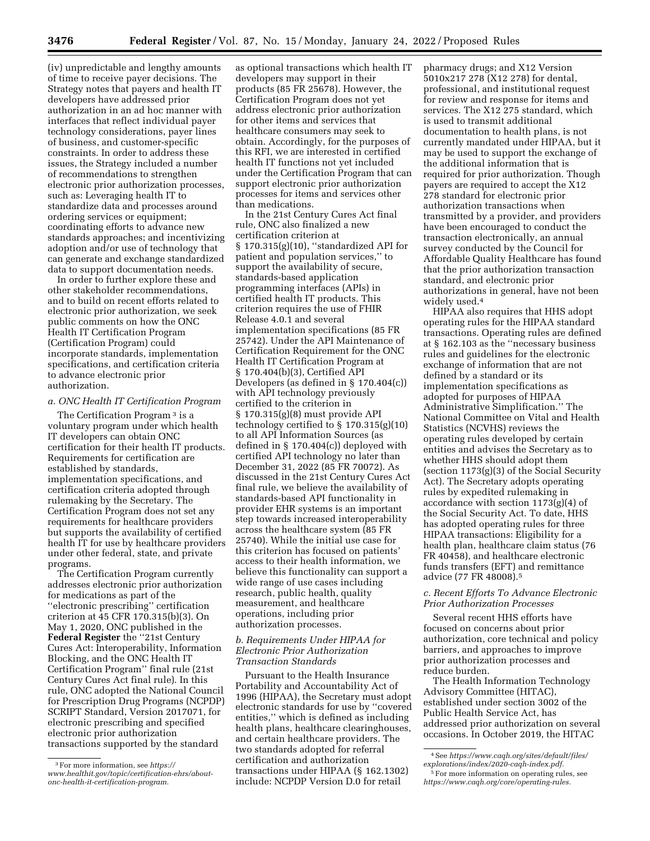(iv) unpredictable and lengthy amounts of time to receive payer decisions. The Strategy notes that payers and health IT developers have addressed prior authorization in an ad hoc manner with interfaces that reflect individual payer technology considerations, payer lines of business, and customer-specific constraints. In order to address these issues, the Strategy included a number of recommendations to strengthen electronic prior authorization processes, such as: Leveraging health IT to standardize data and processes around ordering services or equipment; coordinating efforts to advance new standards approaches; and incentivizing adoption and/or use of technology that can generate and exchange standardized data to support documentation needs.

In order to further explore these and other stakeholder recommendations, and to build on recent efforts related to electronic prior authorization, we seek public comments on how the ONC Health IT Certification Program (Certification Program) could incorporate standards, implementation specifications, and certification criteria to advance electronic prior authorization.

# *a. ONC Health IT Certification Program*

The Certification Program 3 is a voluntary program under which health IT developers can obtain ONC certification for their health IT products. Requirements for certification are established by standards, implementation specifications, and certification criteria adopted through rulemaking by the Secretary. The Certification Program does not set any requirements for healthcare providers but supports the availability of certified health IT for use by healthcare providers under other federal, state, and private programs.

The Certification Program currently addresses electronic prior authorization for medications as part of the ''electronic prescribing'' certification criterion at 45 CFR 170.315(b)(3). On May 1, 2020, ONC published in the **Federal Register** the ''21st Century Cures Act: Interoperability, Information Blocking, and the ONC Health IT Certification Program'' final rule (21st Century Cures Act final rule). In this rule, ONC adopted the National Council for Prescription Drug Programs (NCPDP) SCRIPT Standard, Version 2017071, for electronic prescribing and specified electronic prior authorization transactions supported by the standard

as optional transactions which health IT developers may support in their products (85 FR 25678). However, the Certification Program does not yet address electronic prior authorization for other items and services that healthcare consumers may seek to obtain. Accordingly, for the purposes of this RFI, we are interested in certified health IT functions not yet included under the Certification Program that can support electronic prior authorization processes for items and services other than medications.

In the 21st Century Cures Act final rule, ONC also finalized a new certification criterion at § 170.315(g)(10), ''standardized API for patient and population services,'' to support the availability of secure, standards-based application programming interfaces (APIs) in certified health IT products. This criterion requires the use of FHIR Release 4.0.1 and several implementation specifications (85 FR 25742). Under the API Maintenance of Certification Requirement for the ONC Health IT Certification Program at § 170.404(b)(3), Certified API Developers (as defined in § 170.404(c)) with API technology previously certified to the criterion in § 170.315(g)(8) must provide API technology certified to § 170.315(g)(10) to all API Information Sources (as defined in § 170.404(c)) deployed with certified API technology no later than December 31, 2022 (85 FR 70072). As discussed in the 21st Century Cures Act final rule, we believe the availability of standards-based API functionality in provider EHR systems is an important step towards increased interoperability across the healthcare system (85 FR 25740). While the initial use case for this criterion has focused on patients' access to their health information, we believe this functionality can support a wide range of use cases including research, public health, quality measurement, and healthcare operations, including prior authorization processes.

### *b. Requirements Under HIPAA for Electronic Prior Authorization Transaction Standards*

Pursuant to the Health Insurance Portability and Accountability Act of 1996 (HIPAA), the Secretary must adopt electronic standards for use by ''covered entities,'' which is defined as including health plans, healthcare clearinghouses, and certain healthcare providers. The two standards adopted for referral certification and authorization transactions under HIPAA (§ 162.1302) include: NCPDP Version D.0 for retail

pharmacy drugs; and X12 Version 5010x217 278 (X12 278) for dental, professional, and institutional request for review and response for items and services. The X12 275 standard, which is used to transmit additional documentation to health plans, is not currently mandated under HIPAA, but it may be used to support the exchange of the additional information that is required for prior authorization. Though payers are required to accept the X12 278 standard for electronic prior authorization transactions when transmitted by a provider, and providers have been encouraged to conduct the transaction electronically, an annual survey conducted by the Council for Affordable Quality Healthcare has found that the prior authorization transaction standard, and electronic prior authorizations in general, have not been widely used.4

HIPAA also requires that HHS adopt operating rules for the HIPAA standard transactions. Operating rules are defined at § 162.103 as the ''necessary business rules and guidelines for the electronic exchange of information that are not defined by a standard or its implementation specifications as adopted for purposes of HIPAA Administrative Simplification.'' The National Committee on Vital and Health Statistics (NCVHS) reviews the operating rules developed by certain entities and advises the Secretary as to whether HHS should adopt them (section 1173(g)(3) of the Social Security Act). The Secretary adopts operating rules by expedited rulemaking in accordance with section 1173(g)(4) of the Social Security Act. To date, HHS has adopted operating rules for three HIPAA transactions: Eligibility for a health plan, healthcare claim status (76 FR 40458), and healthcare electronic funds transfers (EFT) and remittance advice (77 FR 48008).5

### *c. Recent Efforts To Advance Electronic Prior Authorization Processes*

Several recent HHS efforts have focused on concerns about prior authorization, core technical and policy barriers, and approaches to improve prior authorization processes and reduce burden.

The Health Information Technology Advisory Committee (HITAC), established under section 3002 of the Public Health Service Act, has addressed prior authorization on several occasions. In October 2019, the HITAC

<sup>3</sup>For more information, see *[https://](https://www.healthit.gov/topic/certification-ehrs/about-onc-health-it-certification-program) [www.healthit.gov/topic/certification-ehrs/about](https://www.healthit.gov/topic/certification-ehrs/about-onc-health-it-certification-program)[onc-health-it-certification-program.](https://www.healthit.gov/topic/certification-ehrs/about-onc-health-it-certification-program)* 

<sup>4</sup>See *[https://www.caqh.org/sites/default/files/](https://www.caqh.org/sites/default/files/explorations/index/2020-caqh-index.pdf)  [explorations/index/2020-caqh-index.pdf.](https://www.caqh.org/sites/default/files/explorations/index/2020-caqh-index.pdf)* 

<sup>5</sup>For more information on operating rules, see *[https://www.caqh.org/core/operating-rules.](https://www.caqh.org/core/operating-rules)*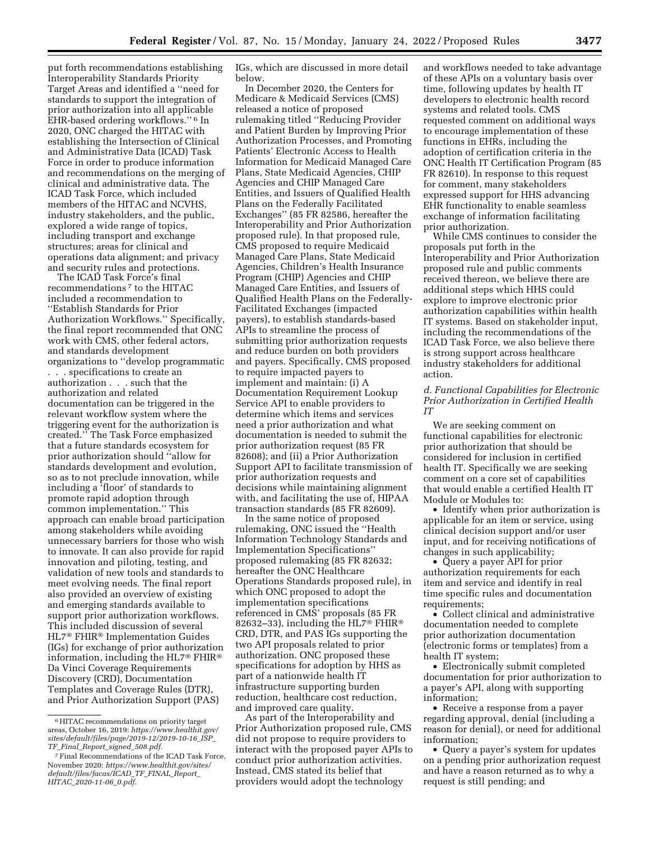put forth recommendations establishing Interoperability Standards Priority Target Areas and identified a ''need for standards to support the integration of prior authorization into all applicable EHR-based ordering workflows.'' 6 In 2020, ONC charged the HITAC with establishing the Intersection of Clinical and Administrative Data (ICAD) Task Force in order to produce information and recommendations on the merging of clinical and administrative data. The ICAD Task Force, which included members of the HITAC and NCVHS, industry stakeholders, and the public, explored a wide range of topics, including transport and exchange structures; areas for clinical and operations data alignment; and privacy and security rules and protections.

The ICAD Task Force's final recommendations 7 to the HITAC included a recommendation to ''Establish Standards for Prior Authorization Workflows.'' Specifically, the final report recommended that ONC work with CMS, other federal actors, and standards development organizations to ''develop programmatic . . . specifications to create an authorization . . . such that the authorization and related documentation can be triggered in the relevant workflow system where the triggering event for the authorization is created.'' The Task Force emphasized that a future standards ecosystem for prior authorization should ''allow for standards development and evolution, so as to not preclude innovation, while including a 'floor' of standards to promote rapid adoption through common implementation.'' This approach can enable broad participation among stakeholders while avoiding unnecessary barriers for those who wish to innovate. It can also provide for rapid innovation and piloting, testing, and validation of new tools and standards to meet evolving needs. The final report also provided an overview of existing and emerging standards available to support prior authorization workflows. This included discussion of several HL7® FHIR® Implementation Guides (IGs) for exchange of prior authorization information, including the HL7® FHIR® Da Vinci Coverage Requirements Discovery (CRD), Documentation Templates and Coverage Rules (DTR), and Prior Authorization Support (PAS)

IGs, which are discussed in more detail below.

In December 2020, the Centers for Medicare & Medicaid Services (CMS) released a notice of proposed rulemaking titled ''Reducing Provider and Patient Burden by Improving Prior Authorization Processes, and Promoting Patients' Electronic Access to Health Information for Medicaid Managed Care Plans, State Medicaid Agencies, CHIP Agencies and CHIP Managed Care Entities, and Issuers of Qualified Health Plans on the Federally Facilitated Exchanges'' (85 FR 82586, hereafter the Interoperability and Prior Authorization proposed rule). In that proposed rule, CMS proposed to require Medicaid Managed Care Plans, State Medicaid Agencies, Children's Health Insurance Program (CHIP) Agencies and CHIP Managed Care Entities, and Issuers of Qualified Health Plans on the Federally-Facilitated Exchanges (impacted payers), to establish standards-based APIs to streamline the process of submitting prior authorization requests and reduce burden on both providers and payers. Specifically, CMS proposed to require impacted payers to implement and maintain: (i) A Documentation Requirement Lookup Service API to enable providers to determine which items and services need a prior authorization and what documentation is needed to submit the prior authorization request (85 FR 82608); and (ii) a Prior Authorization Support API to facilitate transmission of prior authorization requests and decisions while maintaining alignment with, and facilitating the use of, HIPAA transaction standards (85 FR 82609).

In the same notice of proposed rulemaking, ONC issued the ''Health Information Technology Standards and Implementation Specifications'' proposed rulemaking (85 FR 82632; hereafter the ONC Healthcare Operations Standards proposed rule), in which ONC proposed to adopt the implementation specifications referenced in CMS' proposals (85 FR 82632–33), including the HL7® FHIR® CRD, DTR, and PAS IGs supporting the two API proposals related to prior authorization. ONC proposed these specifications for adoption by HHS as part of a nationwide health IT infrastructure supporting burden reduction, healthcare cost reduction, and improved care quality.

As part of the Interoperability and Prior Authorization proposed rule, CMS did not propose to require providers to interact with the proposed payer APIs to conduct prior authorization activities. Instead, CMS stated its belief that providers would adopt the technology

and workflows needed to take advantage of these APIs on a voluntary basis over time, following updates by health IT developers to electronic health record systems and related tools. CMS requested comment on additional ways to encourage implementation of these functions in EHRs, including the adoption of certification criteria in the ONC Health IT Certification Program (85 FR 82610). In response to this request for comment, many stakeholders expressed support for HHS advancing EHR functionality to enable seamless exchange of information facilitating prior authorization.

While CMS continues to consider the proposals put forth in the Interoperability and Prior Authorization proposed rule and public comments received thereon, we believe there are additional steps which HHS could explore to improve electronic prior authorization capabilities within health IT systems. Based on stakeholder input, including the recommendations of the ICAD Task Force, we also believe there is strong support across healthcare industry stakeholders for additional action.

# *d. Functional Capabilities for Electronic Prior Authorization in Certified Health IT*

We are seeking comment on functional capabilities for electronic prior authorization that should be considered for inclusion in certified health IT. Specifically we are seeking comment on a core set of capabilities that would enable a certified Health IT Module or Modules to:

• Identify when prior authorization is applicable for an item or service, using clinical decision support and/or user input, and for receiving notifications of changes in such applicability;

• Query a payer API for prior authorization requirements for each item and service and identify in real time specific rules and documentation requirements;

• Collect clinical and administrative documentation needed to complete prior authorization documentation (electronic forms or templates) from a health IT system;

• Electronically submit completed documentation for prior authorization to a payer's API, along with supporting information;

• Receive a response from a payer regarding approval, denial (including a reason for denial), or need for additional information;

• Query a payer's system for updates on a pending prior authorization request and have a reason returned as to why a request is still pending; and

<sup>6</sup>HITAC recommendations on priority target areas, October 16, 2019: *[https://www.healthit.gov/](https://www.healthit.gov/sites/default/files/page/2019-12/2019-10-16_ISP_TF_Final_Report_signed_508.pdf)  [sites/default/files/page/2019-12/2019-10-16](https://www.healthit.gov/sites/default/files/page/2019-12/2019-10-16_ISP_TF_Final_Report_signed_508.pdf)*\_*ISP*\_ *TF*\_*Final*\_*Report*\_*signed*\_*[508.pdf.](https://www.healthit.gov/sites/default/files/page/2019-12/2019-10-16_ISP_TF_Final_Report_signed_508.pdf)* 

<sup>7</sup>Final Recommendations of the ICAD Task Force, November 2020: *[https://www.healthit.gov/sites/](https://www.healthit.gov/sites/default/files/facas/ICAD_TF_FINAL_Report_HITAC_2020-11-06_0.pdf)  [default/files/facas/ICAD](https://www.healthit.gov/sites/default/files/facas/ICAD_TF_FINAL_Report_HITAC_2020-11-06_0.pdf)*\_*TF*\_*FINAL*\_*Report*\_ *HITAC*\_*[2020-11-06](https://www.healthit.gov/sites/default/files/facas/ICAD_TF_FINAL_Report_HITAC_2020-11-06_0.pdf)*\_*0.pdf.*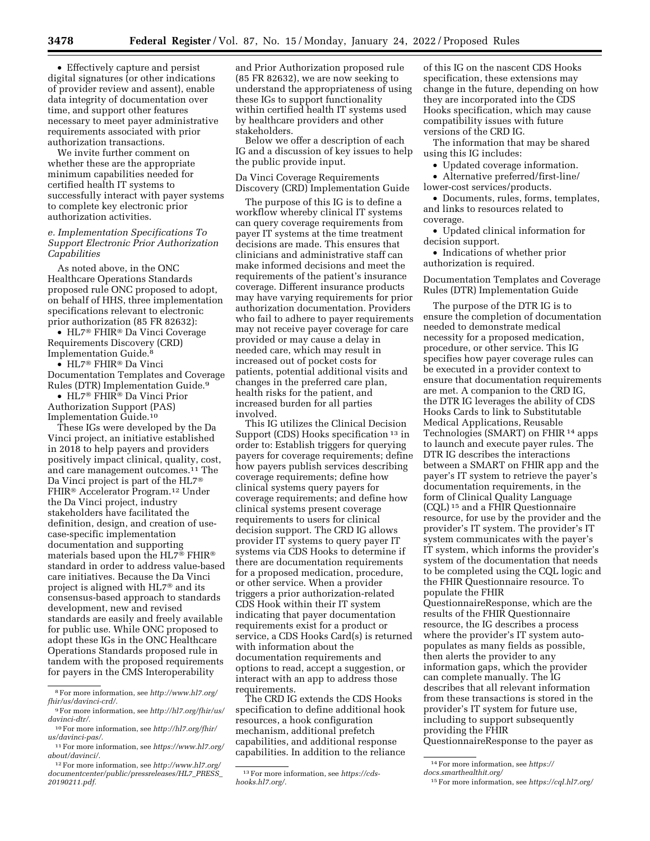• Effectively capture and persist digital signatures (or other indications of provider review and assent), enable data integrity of documentation over time, and support other features necessary to meet payer administrative requirements associated with prior authorization transactions.

We invite further comment on whether these are the appropriate minimum capabilities needed for certified health IT systems to successfully interact with payer systems to complete key electronic prior authorization activities.

# *e. Implementation Specifications To Support Electronic Prior Authorization Capabilities*

As noted above, in the ONC Healthcare Operations Standards proposed rule ONC proposed to adopt, on behalf of HHS, three implementation specifications relevant to electronic prior authorization (85 FR 82632):

• HL7® FHIR® Da Vinci Coverage Requirements Discovery (CRD) Implementation Guide.8

• HL7® FHIR® Da Vinci Documentation Templates and Coverage Rules (DTR) Implementation Guide.9

• HL7® FHIR® Da Vinci Prior Authorization Support (PAS) Implementation Guide.10

These IGs were developed by the Da Vinci project, an initiative established in 2018 to help payers and providers positively impact clinical, quality, cost, and care management outcomes.11 The Da Vinci project is part of the HL7® FHIR® Accelerator Program.12 Under the Da Vinci project, industry stakeholders have facilitated the definition, design, and creation of usecase-specific implementation documentation and supporting materials based upon the HL7® FHIR® standard in order to address value-based care initiatives. Because the Da Vinci project is aligned with HL7® and its consensus-based approach to standards development, new and revised standards are easily and freely available for public use. While ONC proposed to adopt these IGs in the ONC Healthcare Operations Standards proposed rule in tandem with the proposed requirements for payers in the CMS Interoperability

and Prior Authorization proposed rule (85 FR 82632), we are now seeking to understand the appropriateness of using these IGs to support functionality within certified health IT systems used by healthcare providers and other stakeholders.

Below we offer a description of each IG and a discussion of key issues to help the public provide input.

Da Vinci Coverage Requirements Discovery (CRD) Implementation Guide

The purpose of this IG is to define a workflow whereby clinical IT systems can query coverage requirements from payer IT systems at the time treatment decisions are made. This ensures that clinicians and administrative staff can make informed decisions and meet the requirements of the patient's insurance coverage. Different insurance products may have varying requirements for prior authorization documentation. Providers who fail to adhere to payer requirements may not receive payer coverage for care provided or may cause a delay in needed care, which may result in increased out of pocket costs for patients, potential additional visits and changes in the preferred care plan, health risks for the patient, and increased burden for all parties involved.

This IG utilizes the Clinical Decision Support (CDS) Hooks specification 13 in order to: Establish triggers for querying payers for coverage requirements; define how payers publish services describing coverage requirements; define how clinical systems query payers for coverage requirements; and define how clinical systems present coverage requirements to users for clinical decision support. The CRD IG allows provider IT systems to query payer IT systems via CDS Hooks to determine if there are documentation requirements for a proposed medication, procedure, or other service. When a provider triggers a prior authorization-related CDS Hook within their IT system indicating that payer documentation requirements exist for a product or service, a CDS Hooks Card(s) is returned with information about the documentation requirements and options to read, accept a suggestion, or interact with an app to address those requirements.

The CRD IG extends the CDS Hooks specification to define additional hook resources, a hook configuration mechanism, additional prefetch capabilities, and additional response capabilities. In addition to the reliance

of this IG on the nascent CDS Hooks specification, these extensions may change in the future, depending on how they are incorporated into the CDS Hooks specification, which may cause compatibility issues with future versions of the CRD IG.

The information that may be shared using this IG includes:

• Updated coverage information.

• Alternative preferred/first-line/ lower-cost services/products.

• Documents, rules, forms, templates, and links to resources related to coverage.

• Updated clinical information for decision support.

• Indications of whether prior authorization is required.

Documentation Templates and Coverage Rules (DTR) Implementation Guide

The purpose of the DTR IG is to ensure the completion of documentation needed to demonstrate medical necessity for a proposed medication, procedure, or other service. This IG specifies how payer coverage rules can be executed in a provider context to ensure that documentation requirements are met. A companion to the CRD IG, the DTR IG leverages the ability of CDS Hooks Cards to link to Substitutable Medical Applications, Reusable Technologies (SMART) on FHIR<sup>14</sup> apps to launch and execute payer rules. The DTR IG describes the interactions between a SMART on FHIR app and the payer's IT system to retrieve the payer's documentation requirements, in the form of Clinical Quality Language (CQL) 15 and a FHIR Questionnaire resource, for use by the provider and the provider's IT system. The provider's IT system communicates with the payer's IT system, which informs the provider's system of the documentation that needs to be completed using the CQL logic and the FHIR Questionnaire resource. To populate the FHIR

QuestionnaireResponse, which are the results of the FHIR Questionnaire resource, the IG describes a process where the provider's IT system autopopulates as many fields as possible, then alerts the provider to any information gaps, which the provider can complete manually. The IG describes that all relevant information from these transactions is stored in the provider's IT system for future use, including to support subsequently providing the FHIR

QuestionnaireResponse to the payer as

15For more information, see *<https://cql.hl7.org/>*

<sup>8</sup>For more information, see *[http://www.hl7.org/](http://www.hl7.org/fhir/us/davinci-crd/)  [fhir/us/davinci-crd/.](http://www.hl7.org/fhir/us/davinci-crd/)* 

<sup>9</sup>For more information, see *[http://hl7.org/fhir/us/](http://hl7.org/fhir/us/davinci-dtr/) [davinci-dtr/.](http://hl7.org/fhir/us/davinci-dtr/)* 

<sup>10</sup>For more information, see *[http://hl7.org/fhir/](http://hl7.org/fhir/us/davinci-pas/) [us/davinci-pas/.](http://hl7.org/fhir/us/davinci-pas/)* 

<sup>11</sup>For more information, see *[https://www.hl7.org/](https://www.hl7.org/about/davinci/) [about/davinci/.](https://www.hl7.org/about/davinci/)* 

<sup>12</sup>For more information, see *[http://www.hl7.org/](http://www.hl7.org/documentcenter/public/pressreleases/HL7_PRESS_20190211.pdf)  [documentcenter/public/pressreleases/HL7](http://www.hl7.org/documentcenter/public/pressreleases/HL7_PRESS_20190211.pdf)*\_*PRESS*\_ *[20190211.pdf.](http://www.hl7.org/documentcenter/public/pressreleases/HL7_PRESS_20190211.pdf)* 

<sup>13</sup>For more information, see *[https://cds](https://cds-hooks.hl7.org/)[hooks.hl7.org/.](https://cds-hooks.hl7.org/)* 

<sup>14</sup>For more information, see *[https://](https://docs.smarthealthit.org/)*

*[docs.smarthealthit.org/](https://docs.smarthealthit.org/)*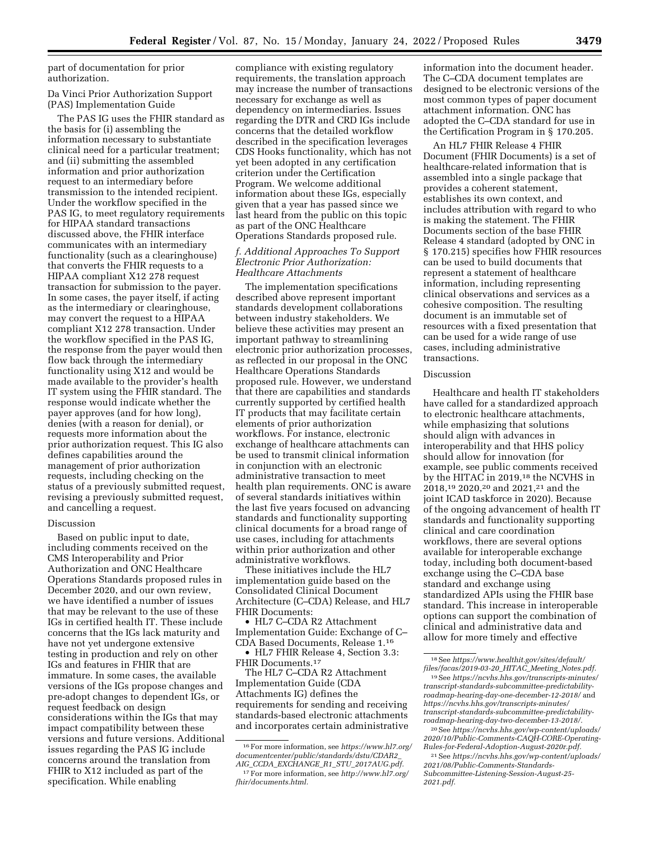part of documentation for prior authorization.

Da Vinci Prior Authorization Support (PAS) Implementation Guide

The PAS IG uses the FHIR standard as the basis for (i) assembling the information necessary to substantiate clinical need for a particular treatment; and (ii) submitting the assembled information and prior authorization request to an intermediary before transmission to the intended recipient. Under the workflow specified in the PAS IG, to meet regulatory requirements for HIPAA standard transactions discussed above, the FHIR interface communicates with an intermediary functionality (such as a clearinghouse) that converts the FHIR requests to a HIPAA compliant X12 278 request transaction for submission to the payer. In some cases, the payer itself, if acting as the intermediary or clearinghouse, may convert the request to a HIPAA compliant X12 278 transaction. Under the workflow specified in the PAS IG, the response from the payer would then flow back through the intermediary functionality using X12 and would be made available to the provider's health IT system using the FHIR standard. The response would indicate whether the payer approves (and for how long), denies (with a reason for denial), or requests more information about the prior authorization request. This IG also defines capabilities around the management of prior authorization requests, including checking on the status of a previously submitted request, revising a previously submitted request, and cancelling a request.

### Discussion

Based on public input to date, including comments received on the CMS Interoperability and Prior Authorization and ONC Healthcare Operations Standards proposed rules in December 2020, and our own review, we have identified a number of issues that may be relevant to the use of these IGs in certified health IT. These include concerns that the IGs lack maturity and have not yet undergone extensive testing in production and rely on other IGs and features in FHIR that are immature. In some cases, the available versions of the IGs propose changes and pre-adopt changes to dependent IGs, or request feedback on design considerations within the IGs that may impact compatibility between these versions and future versions. Additional issues regarding the PAS IG include concerns around the translation from FHIR to X12 included as part of the specification. While enabling

compliance with existing regulatory requirements, the translation approach may increase the number of transactions necessary for exchange as well as dependency on intermediaries. Issues regarding the DTR and CRD IGs include concerns that the detailed workflow described in the specification leverages CDS Hooks functionality, which has not yet been adopted in any certification criterion under the Certification Program. We welcome additional information about these IGs, especially given that a year has passed since we last heard from the public on this topic as part of the ONC Healthcare Operations Standards proposed rule.

# *f. Additional Approaches To Support Electronic Prior Authorization: Healthcare Attachments*

The implementation specifications described above represent important standards development collaborations between industry stakeholders. We believe these activities may present an important pathway to streamlining electronic prior authorization processes, as reflected in our proposal in the ONC Healthcare Operations Standards proposed rule. However, we understand that there are capabilities and standards currently supported by certified health IT products that may facilitate certain elements of prior authorization workflows. For instance, electronic exchange of healthcare attachments can be used to transmit clinical information in conjunction with an electronic administrative transaction to meet health plan requirements. ONC is aware of several standards initiatives within the last five years focused on advancing standards and functionality supporting clinical documents for a broad range of use cases, including for attachments within prior authorization and other administrative workflows.

These initiatives include the HL7 implementation guide based on the Consolidated Clinical Document Architecture (C–CDA) Release, and HL7 FHIR Documents:

• HL7 C–CDA R2 Attachment Implementation Guide: Exchange of C– CDA Based Documents, Release 1.16

• HL7 FHIR Release 4, Section 3.3: FHIR Documents.17

The HL7 C–CDA R2 Attachment Implementation Guide (CDA Attachments IG) defines the requirements for sending and receiving standards-based electronic attachments and incorporates certain administrative

information into the document header. The C–CDA document templates are designed to be electronic versions of the most common types of paper document attachment information. ONC has adopted the C–CDA standard for use in the Certification Program in § 170.205.

An HL7 FHIR Release 4 FHIR Document (FHIR Documents) is a set of healthcare-related information that is assembled into a single package that provides a coherent statement, establishes its own context, and includes attribution with regard to who is making the statement. The FHIR Documents section of the base FHIR Release 4 standard (adopted by ONC in § 170.215) specifies how FHIR resources can be used to build documents that represent a statement of healthcare information, including representing clinical observations and services as a cohesive composition. The resulting document is an immutable set of resources with a fixed presentation that can be used for a wide range of use cases, including administrative transactions.

### Discussion

Healthcare and health IT stakeholders have called for a standardized approach to electronic healthcare attachments, while emphasizing that solutions should align with advances in interoperability and that HHS policy should allow for innovation (for example, see public comments received by the HITAC in 2019,18 the NCVHS in 2018,19 2020,20 and 2021,21 and the joint ICAD taskforce in 2020). Because of the ongoing advancement of health IT standards and functionality supporting clinical and care coordination workflows, there are several options available for interoperable exchange today, including both document-based exchange using the C–CDA base standard and exchange using standardized APIs using the FHIR base standard. This increase in interoperable options can support the combination of clinical and administrative data and allow for more timely and effective

<sup>16</sup>For more information, see *[https://www.hl7.org/](https://www.hl7.org/documentcenter/public/standards/dstu/CDAR2_AIG_CCDA_EXCHANGE_R1_STU_2017AUG.pdf) [documentcenter/public/standards/dstu/CDAR2](https://www.hl7.org/documentcenter/public/standards/dstu/CDAR2_AIG_CCDA_EXCHANGE_R1_STU_2017AUG.pdf)*\_ *AIG*\_*CCDA*\_*EXCHANGE*\_*R1*\_*STU*\_*[2017AUG.pdf.](https://www.hl7.org/documentcenter/public/standards/dstu/CDAR2_AIG_CCDA_EXCHANGE_R1_STU_2017AUG.pdf)* 

<sup>17</sup>For more information, see *[http://www.hl7.org/](http://www.hl7.org/fhir/documents.html)  [fhir/documents.html.](http://www.hl7.org/fhir/documents.html)* 

<sup>18</sup>See *[https://www.healthit.gov/sites/default/](https://www.healthit.gov/sites/default/files/facas/2019-03-20_HITAC_Meeting_Notes.pdf) [files/facas/2019-03-20](https://www.healthit.gov/sites/default/files/facas/2019-03-20_HITAC_Meeting_Notes.pdf)*\_*HITAC*\_*Meeting*\_*Notes.pdf.* 

<sup>19</sup>See *[https://ncvhs.hhs.gov/transcripts-minutes/](https://ncvhs.hhs.gov/transcripts-minutes/transcript-standards-subcommittee-predictability-roadmap-hearing-day-one-december-12-2018/)  [transcript-standards-subcommittee-predictability](https://ncvhs.hhs.gov/transcripts-minutes/transcript-standards-subcommittee-predictability-roadmap-hearing-day-one-december-12-2018/)[roadmap-hearing-day-one-december-12-2018/](https://ncvhs.hhs.gov/transcripts-minutes/transcript-standards-subcommittee-predictability-roadmap-hearing-day-one-december-12-2018/)* and *[https://ncvhs.hhs.gov/transcripts-minutes/](https://ncvhs.hhs.gov/transcripts-minutes/transcript-standards-subcommittee-predictability-roadmap-hearing-day-two-december-13-2018/) [transcript-standards-subcommittee-predictability](https://ncvhs.hhs.gov/transcripts-minutes/transcript-standards-subcommittee-predictability-roadmap-hearing-day-two-december-13-2018/)[roadmap-hearing-day-two-december-13-2018/.](https://ncvhs.hhs.gov/transcripts-minutes/transcript-standards-subcommittee-predictability-roadmap-hearing-day-two-december-13-2018/)* 

<sup>20</sup>See *[https://ncvhs.hhs.gov/wp-content/uploads/](https://ncvhs.hhs.gov/wp-content/uploads/2020/10/Public-Comments-CAQH-CORE-Operating-Rules-for-Federal-Adoption-August-2020r.pdf)  [2020/10/Public-Comments-CAQH-CORE-Operating-](https://ncvhs.hhs.gov/wp-content/uploads/2020/10/Public-Comments-CAQH-CORE-Operating-Rules-for-Federal-Adoption-August-2020r.pdf)[Rules-for-Federal-Adoption-August-2020r.pdf.](https://ncvhs.hhs.gov/wp-content/uploads/2020/10/Public-Comments-CAQH-CORE-Operating-Rules-for-Federal-Adoption-August-2020r.pdf)* 

<sup>21</sup>See *[https://ncvhs.hhs.gov/wp-content/uploads/](https://ncvhs.hhs.gov/wp-content/uploads/2021/08/Public-Comments-Standards-Subcommittee-Listening-Session-August-25-2021.pdf)  [2021/08/Public-Comments-Standards-](https://ncvhs.hhs.gov/wp-content/uploads/2021/08/Public-Comments-Standards-Subcommittee-Listening-Session-August-25-2021.pdf)[Subcommittee-Listening-Session-August-25-](https://ncvhs.hhs.gov/wp-content/uploads/2021/08/Public-Comments-Standards-Subcommittee-Listening-Session-August-25-2021.pdf) [2021.pdf.](https://ncvhs.hhs.gov/wp-content/uploads/2021/08/Public-Comments-Standards-Subcommittee-Listening-Session-August-25-2021.pdf)*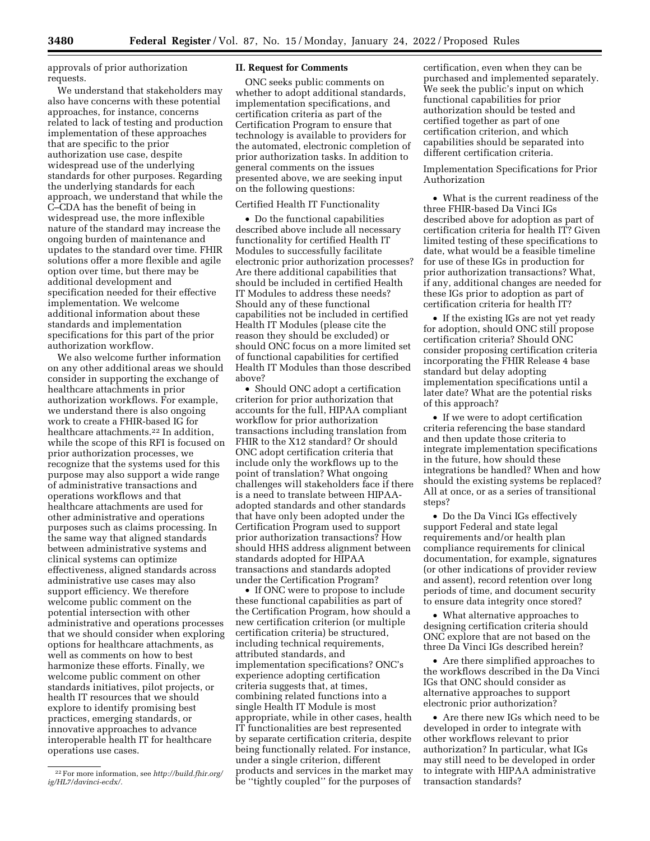approvals of prior authorization requests.

We understand that stakeholders may also have concerns with these potential approaches, for instance, concerns related to lack of testing and production implementation of these approaches that are specific to the prior authorization use case, despite widespread use of the underlying standards for other purposes. Regarding the underlying standards for each approach, we understand that while the C–CDA has the benefit of being in widespread use, the more inflexible nature of the standard may increase the ongoing burden of maintenance and updates to the standard over time. FHIR solutions offer a more flexible and agile option over time, but there may be additional development and specification needed for their effective implementation. We welcome additional information about these standards and implementation specifications for this part of the prior authorization workflow.

We also welcome further information on any other additional areas we should consider in supporting the exchange of healthcare attachments in prior authorization workflows. For example, we understand there is also ongoing work to create a FHIR-based IG for healthcare attachments.22 In addition, while the scope of this RFI is focused on prior authorization processes, we recognize that the systems used for this purpose may also support a wide range of administrative transactions and operations workflows and that healthcare attachments are used for other administrative and operations purposes such as claims processing. In the same way that aligned standards between administrative systems and clinical systems can optimize effectiveness, aligned standards across administrative use cases may also support efficiency. We therefore welcome public comment on the potential intersection with other administrative and operations processes that we should consider when exploring options for healthcare attachments, as well as comments on how to best harmonize these efforts. Finally, we welcome public comment on other standards initiatives, pilot projects, or health IT resources that we should explore to identify promising best practices, emerging standards, or innovative approaches to advance interoperable health IT for healthcare operations use cases.

## **II. Request for Comments**

ONC seeks public comments on whether to adopt additional standards, implementation specifications, and certification criteria as part of the Certification Program to ensure that technology is available to providers for the automated, electronic completion of prior authorization tasks. In addition to general comments on the issues presented above, we are seeking input on the following questions:

#### Certified Health IT Functionality

• Do the functional capabilities described above include all necessary functionality for certified Health IT Modules to successfully facilitate electronic prior authorization processes? Are there additional capabilities that should be included in certified Health IT Modules to address these needs? Should any of these functional capabilities not be included in certified Health IT Modules (please cite the reason they should be excluded) or should ONC focus on a more limited set of functional capabilities for certified Health IT Modules than those described above?

• Should ONC adopt a certification criterion for prior authorization that accounts for the full, HIPAA compliant workflow for prior authorization transactions including translation from FHIR to the X12 standard? Or should ONC adopt certification criteria that include only the workflows up to the point of translation? What ongoing challenges will stakeholders face if there is a need to translate between HIPAAadopted standards and other standards that have only been adopted under the Certification Program used to support prior authorization transactions? How should HHS address alignment between standards adopted for HIPAA transactions and standards adopted under the Certification Program?

• If ONC were to propose to include these functional capabilities as part of the Certification Program, how should a new certification criterion (or multiple certification criteria) be structured, including technical requirements, attributed standards, and implementation specifications? ONC's experience adopting certification criteria suggests that, at times, combining related functions into a single Health IT Module is most appropriate, while in other cases, health IT functionalities are best represented by separate certification criteria, despite being functionally related. For instance, under a single criterion, different products and services in the market may be ''tightly coupled'' for the purposes of

certification, even when they can be purchased and implemented separately. We seek the public's input on which functional capabilities for prior authorization should be tested and certified together as part of one certification criterion, and which capabilities should be separated into different certification criteria.

Implementation Specifications for Prior Authorization

• What is the current readiness of the three FHIR-based Da Vinci IGs described above for adoption as part of certification criteria for health IT? Given limited testing of these specifications to date, what would be a feasible timeline for use of these IGs in production for prior authorization transactions? What, if any, additional changes are needed for these IGs prior to adoption as part of certification criteria for health IT?

• If the existing IGs are not yet ready for adoption, should ONC still propose certification criteria? Should ONC consider proposing certification criteria incorporating the FHIR Release 4 base standard but delay adopting implementation specifications until a later date? What are the potential risks of this approach?

• If we were to adopt certification criteria referencing the base standard and then update those criteria to integrate implementation specifications in the future, how should these integrations be handled? When and how should the existing systems be replaced? All at once, or as a series of transitional steps?

• Do the Da Vinci IGs effectively support Federal and state legal requirements and/or health plan compliance requirements for clinical documentation, for example, signatures (or other indications of provider review and assent), record retention over long periods of time, and document security to ensure data integrity once stored?

• What alternative approaches to designing certification criteria should ONC explore that are not based on the three Da Vinci IGs described herein?

• Are there simplified approaches to the workflows described in the Da Vinci IGs that ONC should consider as alternative approaches to support electronic prior authorization?

• Are there new IGs which need to be developed in order to integrate with other workflows relevant to prior authorization? In particular, what IGs may still need to be developed in order to integrate with HIPAA administrative transaction standards?

<sup>22</sup>For more information, see *[http://build.fhir.org/](http://build.fhir.org/ig/HL7/davinci-ecdx/) [ig/HL7/davinci-ecdx/.](http://build.fhir.org/ig/HL7/davinci-ecdx/)*